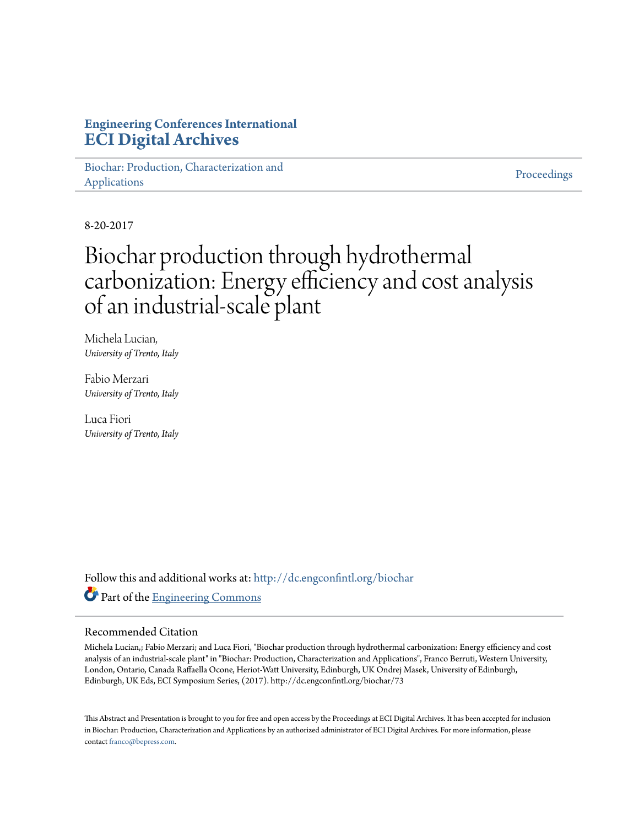#### **Engineering Conferences International [ECI Digital Archives](http://dc.engconfintl.org?utm_source=dc.engconfintl.org%2Fbiochar%2F73&utm_medium=PDF&utm_campaign=PDFCoverPages)**

[Biochar: Production, Characterization and](http://dc.engconfintl.org/biochar?utm_source=dc.engconfintl.org%2Fbiochar%2F73&utm_medium=PDF&utm_campaign=PDFCoverPages) [Applications](http://dc.engconfintl.org/biochar?utm_source=dc.engconfintl.org%2Fbiochar%2F73&utm_medium=PDF&utm_campaign=PDFCoverPages)

[Proceedings](http://dc.engconfintl.org/proceedings?utm_source=dc.engconfintl.org%2Fbiochar%2F73&utm_medium=PDF&utm_campaign=PDFCoverPages)

8-20-2017

### Biochar production through hydrothermal carbonization: Energy efficiency and cost analysis of an industrial-scale plant

Michela Lucian, *University of Trento, Italy*

Fabio Merzari *University of Trento, Italy*

Luca Fiori *University of Trento, Italy*

Follow this and additional works at: [http://dc.engconfintl.org/biochar](http://dc.engconfintl.org/biochar?utm_source=dc.engconfintl.org%2Fbiochar%2F73&utm_medium=PDF&utm_campaign=PDFCoverPages) Part of the [Engineering Commons](http://network.bepress.com/hgg/discipline/217?utm_source=dc.engconfintl.org%2Fbiochar%2F73&utm_medium=PDF&utm_campaign=PDFCoverPages)

#### Recommended Citation

Michela Lucian,; Fabio Merzari; and Luca Fiori, "Biochar production through hydrothermal carbonization: Energy efficiency and cost analysis of an industrial-scale plant" in "Biochar: Production, Characterization and Applications", Franco Berruti, Western University, London, Ontario, Canada Raffaella Ocone, Heriot-Watt University, Edinburgh, UK Ondrej Masek, University of Edinburgh, Edinburgh, UK Eds, ECI Symposium Series, (2017). http://dc.engconfintl.org/biochar/73

This Abstract and Presentation is brought to you for free and open access by the Proceedings at ECI Digital Archives. It has been accepted for inclusion in Biochar: Production, Characterization and Applications by an authorized administrator of ECI Digital Archives. For more information, please contact [franco@bepress.com](mailto:franco@bepress.com).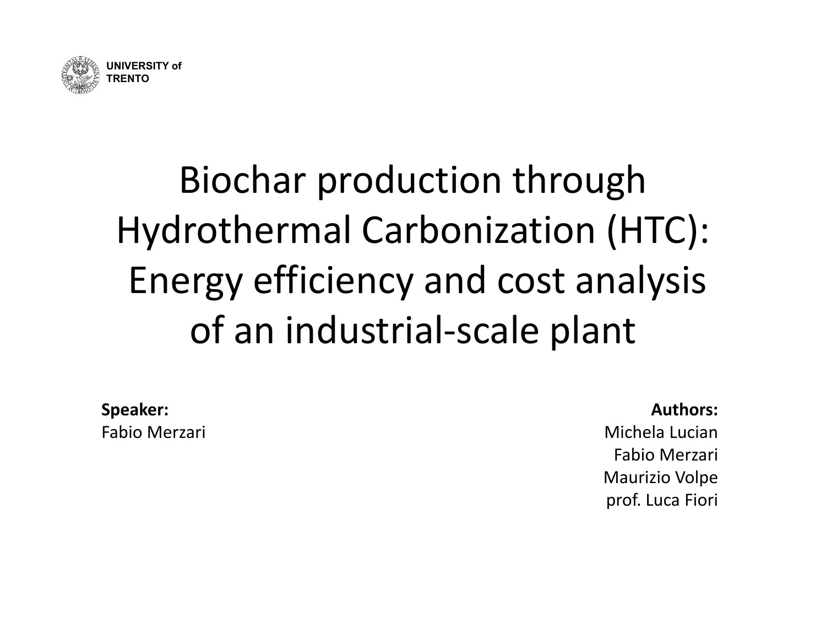

## Biochar production through Hydrothermal Carbonization (HTC): Energy efficiency and cost analysis of an industrial‐scale plant

**Speaker:** Fabio Merzari **Authors:**

Michela LucianFabio Merzari Maurizio Volpe prof. Luca Fiori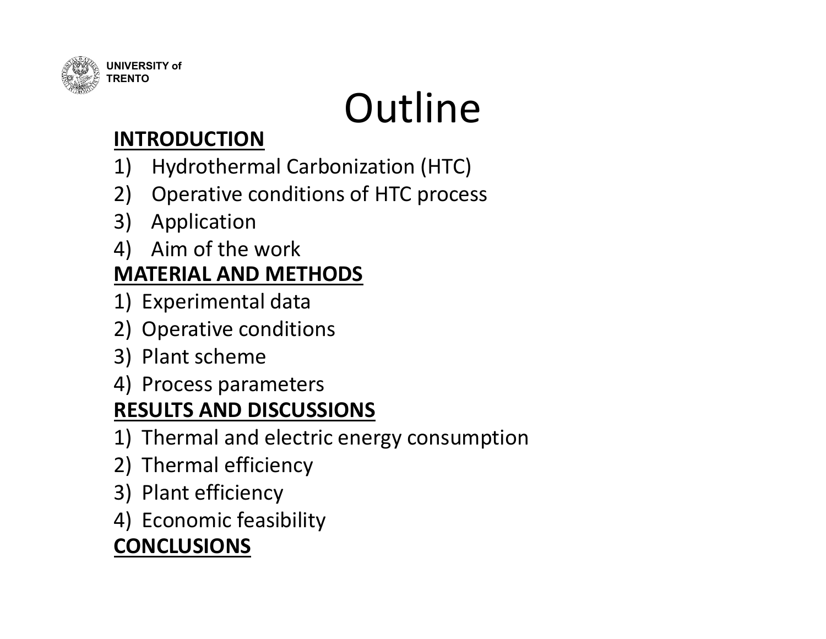

# **Outline**

### **INTRODUCTION**

- 1) Hydrothermal Carbonization (HTC)
- 2) Operative conditions of HTC process
- 3) Application
- 4) Aim of the work

### **MATERIAL AND METHODS**

- 1) Experimental data
- 2) Operative conditions
- 3) Plant scheme
- 4) Process parameters

### **RESULTS AND DISCUSSIONS**

- 1) Thermal and electric energy consumption
- 2) Thermal efficiency
- 3) Plant efficiency
- 4) Economic feasibility

### **CONCLUSIONS**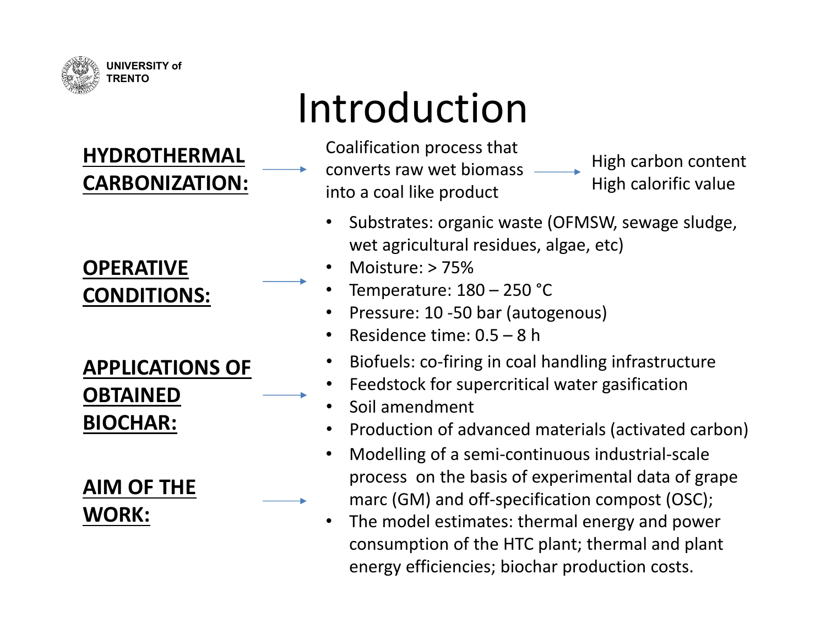

### **HYDROTHERMAL CARBONIZATION:**

#### **OPERATIVE CONDITIONS:**

### **APPLICATIONS OF OBTAINED BIOCHAR:**

#### **AIM OF THE WORK:**

## Introduction

- Coalification process that converts raw wet biomass into <sup>a</sup> coal like product High carbon content High calorific value
	- • Substrates: organic waste (OFMSW, sewage sludge, wet agricultural residues, algae, etc)
	- •Moisture: > 75%
	- •Temperature: 180 – 250 °C
	- •• Pressure: 10 -50 bar (autogenous)
	- •Residence time: 0.5 – 8 h
	- •Biofuels: co‐firing in coal handling infrastructure
	- •Feedstock for supercritical water gasification
	- •Soil amendment
	- •• Production of advanced materials (activated carbon)
	- • Modelling of <sup>a</sup> semi‐continuous industrial‐scale process on the basis of experimental data of grape marc (GM) and off‐specification compost (OSC);
	- • The model estimates: thermal energy and power consumption of the HTC plant; thermal and plant energy efficiencies; biochar production costs.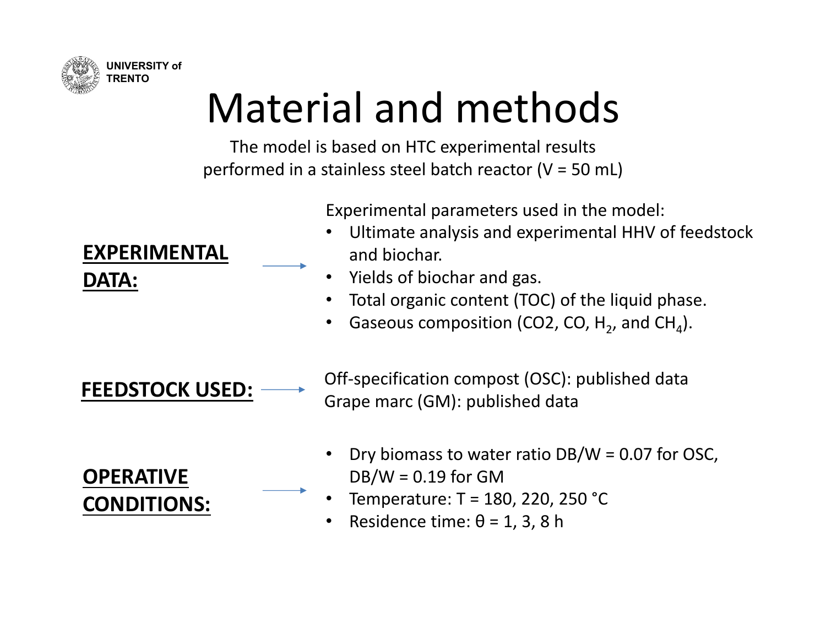

## Material and methods

The model is based on HTC experimental results performed in <sup>a</sup> stainless steel batch reactor (V <sup>=</sup> 50 mL)

Experimental parameters used in the model:

- • Ultimate analysis and experimental HHV of feedstock and biochar.
- •• Yields of biochar and gas.
- •Total organic content (TOC) of the liquid phase.
- •• Gaseous composition (CO2, CO,  $H_2$ , and CH<sub>4</sub>).

**FEEDSTOCK**

Off-specification compost (OSC): published data Grape marc (GM): published data

**OPERATIVE CONDITIONS:**

- • Dry biomass to water ratio DB/W <sup>=</sup> 0.07 for OSC,  $DB/W = 0.19$  for GM
- •Temperature: T <sup>=</sup> 180, 220, 250 °C
- •• Residence time:  $θ = 1, 3, 8$  h

**EXPERIMENTALDATA:**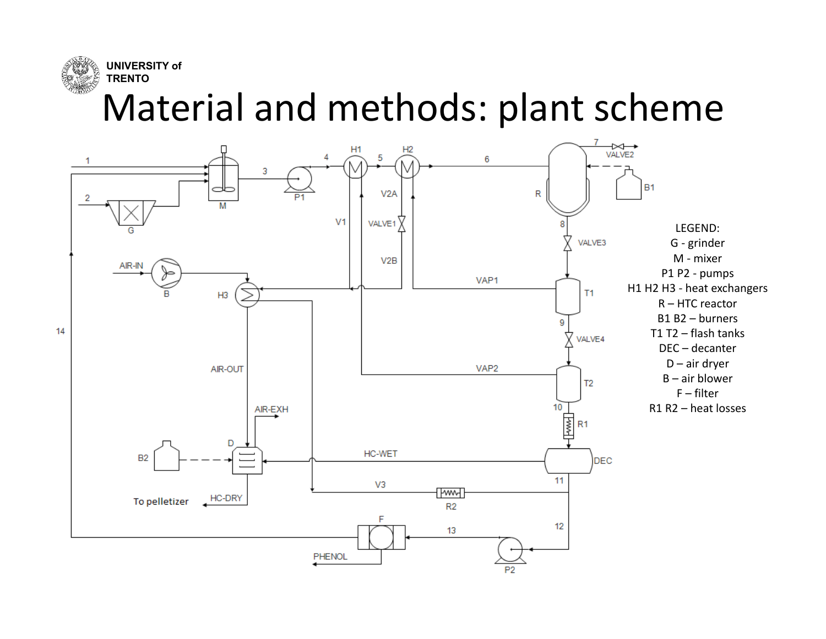

### Material and methods: plant scheme

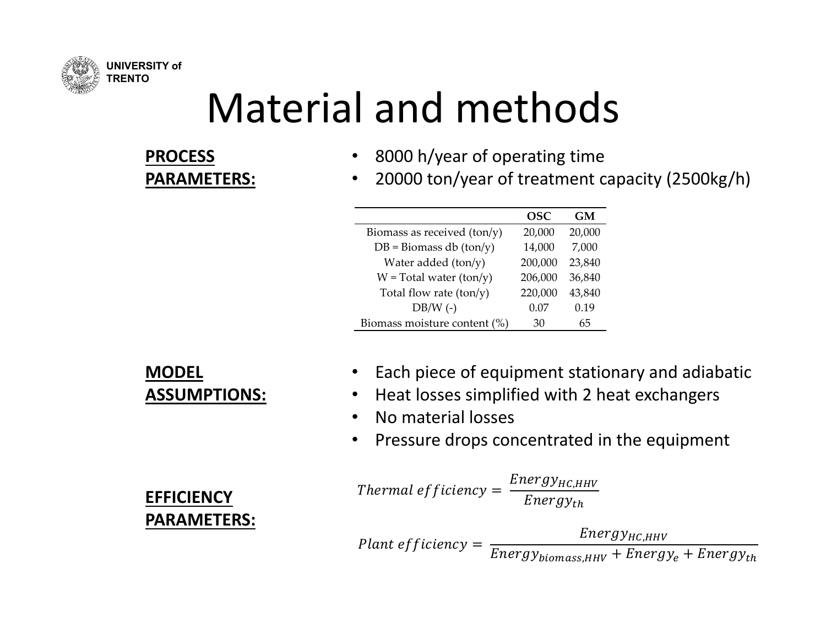

## Material and methods

#### **PROCESSPARAMETERS:**

- •8000 h/year of operating time
- $\bullet$ 20000 ton/year of treatment capacity (2500kg/h)

|                                  | <b>OSC</b> | GM     |
|----------------------------------|------------|--------|
| Biomass as received $(ton/y)$    | 20,000     | 20,000 |
| $DB = \text{Biomass db (ton/y)}$ | 14,000     | 7,000  |
| Water added (ton/y)              | 200,000    | 23,840 |
| $W = Total water (ton/y)$        | 206,000    | 36,840 |
| Total flow rate $(ton/y)$        | 220,000    | 43,840 |
| $DB/W$ (-)                       | 0.07       | 0.19   |
| Biomass moisture content (%)     | 30         | 65     |

#### **MODEL ASSUMPTIONS:**

**EFFICIENCY**

**PARAMETERS:**

- •• Each piece of equipment stationary and adiabatic
- $\bullet$ • Heat losses simplified with 2 heat exchangers
- $\bullet$ • No material losses
- •• Pressure drops concentrated in the equipment

*Thermal efficiency* = 
$$
\frac{Energy_{HC,HHV}}{Energy_{th}}
$$

 $\emph{Plan}$ t efficiency  $= \frac{Energy_{HC,HHV}}{Energy_{biomass,HHV} + Energy_{e} + Energy_{th}}$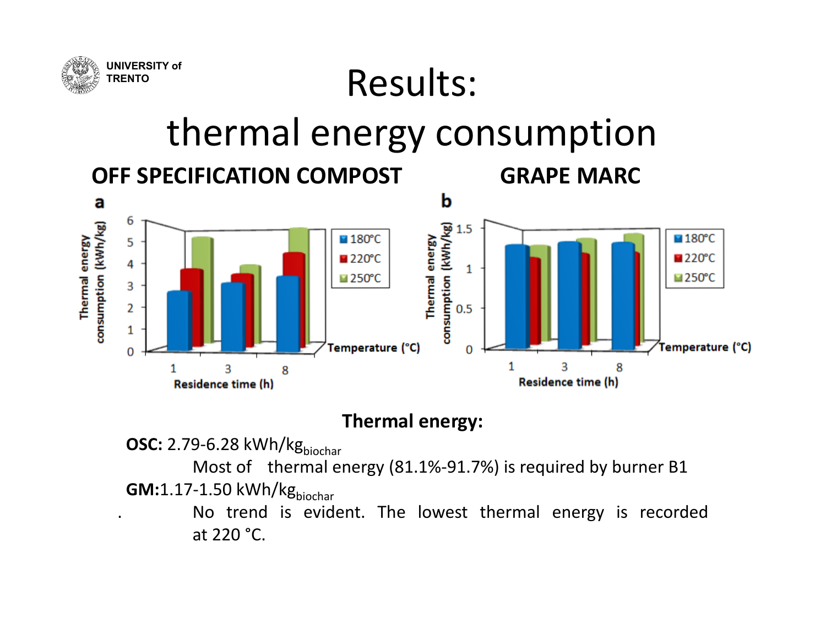

### Results:

### thermal energy consumption

**COMPOST GRAPE MARC**





#### **Thermal energy:**

**OSC:** 2.79-6.28 kWh/kg<sub>biochar</sub>

Most of thermal energy (81.1%-91.7%) is required by burner B1 **GM:**1.17-1.50 kWh/kg<sub>biochar</sub>

. No trend is evident. The lowest thermal energy is recorded at 220 °C.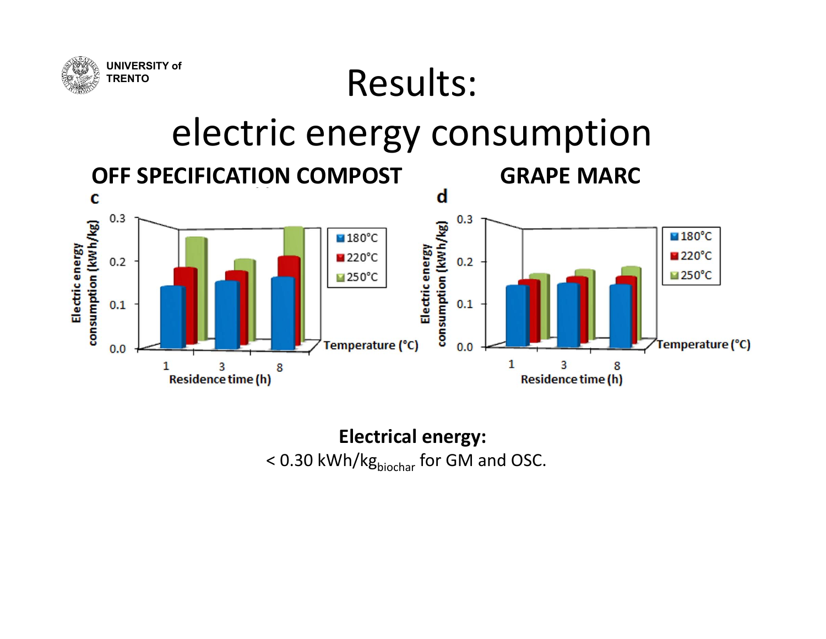

## electric energy consumption

Results:



**Electrical energy:** < 0.30 kWh/kg<sub>biochar</sub> for GM and OSC.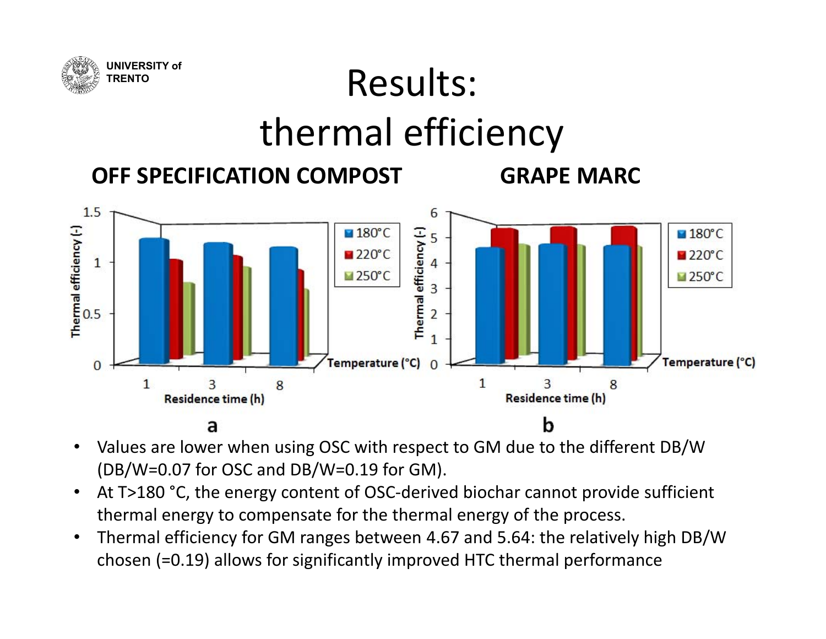

# thermal efficiency

Results:



**COMPOST GRAPE MARC**



- • Values are lower when using OSC with respect to GM due to the different DB/W (DB/W=0.07 for OSC and DB/W=0.19 for GM).
- $\bullet$ • At T>180 °C, the energy content of OSC-derived biochar cannot provide sufficient thermal energy to compensate for the thermal energy of the process.
- • Thermal efficiency for GM ranges between 4.67 and 5.64: the relatively high DB/W chosen (=0.19) allows for significantly improved HTC thermal performance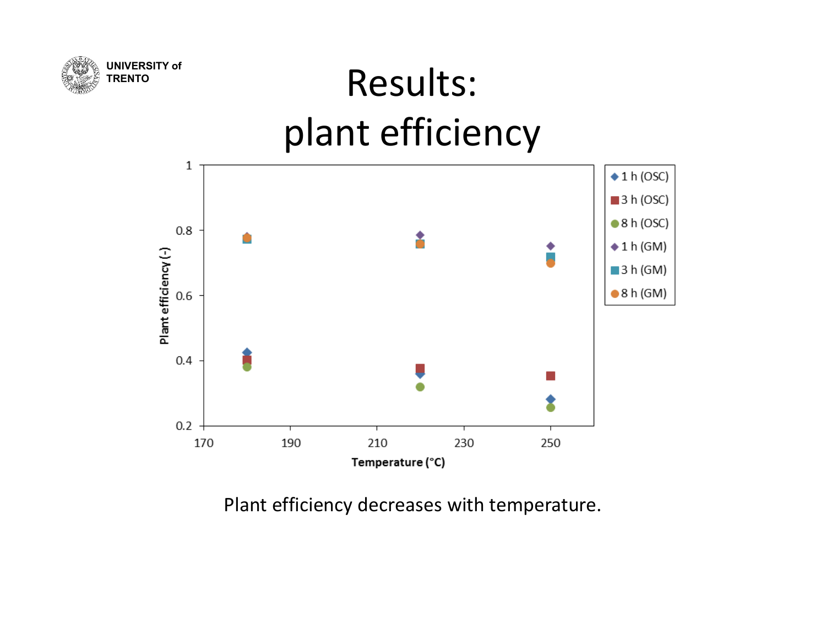

## Results: plant efficiency



Plant efficiency decreases with temperature.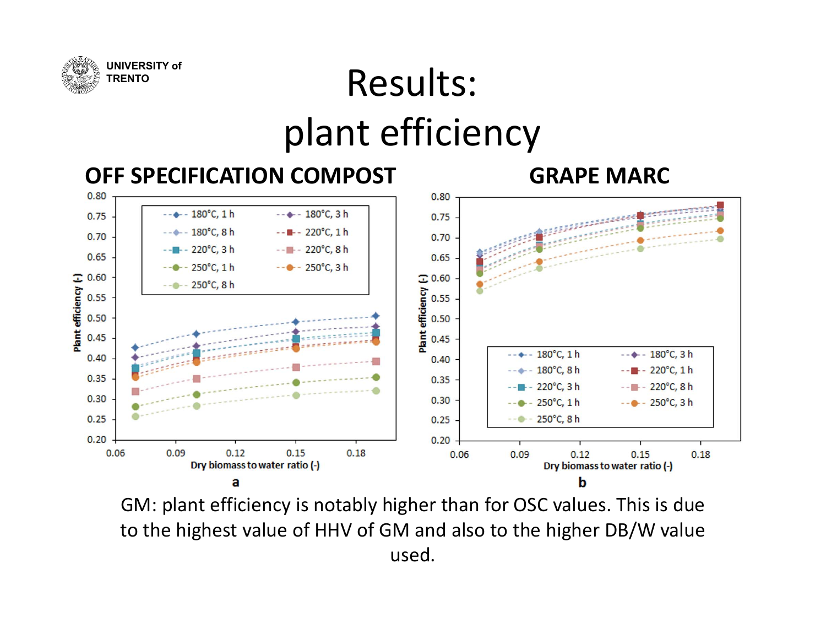

## Results: plant efficiency



GM: plant efficiency is notably higher than for OSC values. This is due to the highest value of HHV of GM and also to the higher DB/W value used.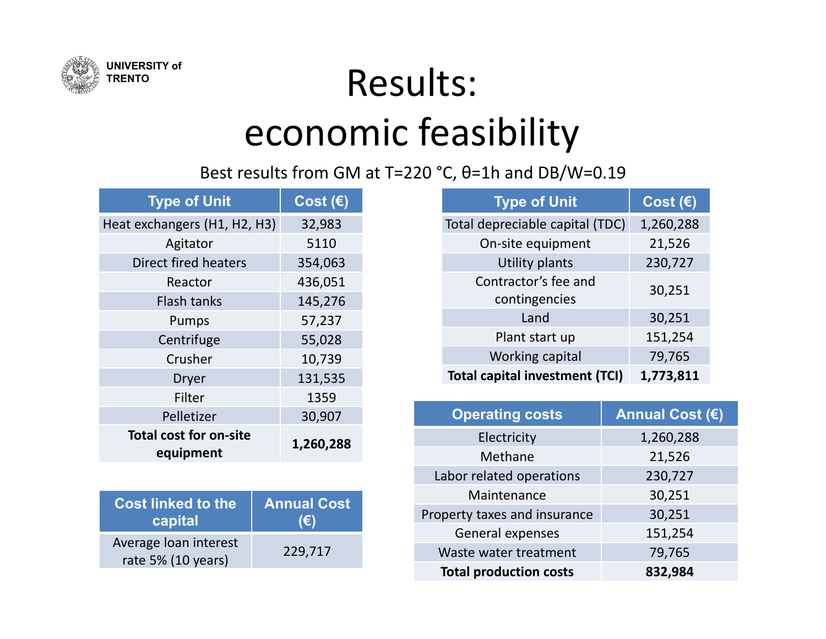

## Results: economic feasibility

Best results from GM at T=220 °C, θ=1h and DB/W=0.19

| <b>Type of Unit</b>                        | Cost $(\epsilon)$ |
|--------------------------------------------|-------------------|
| Heat exchangers (H1, H2, H3)               | 32,983            |
| Agitator                                   | 5110              |
| Direct fired heaters                       | 354,063           |
| Reactor                                    | 436,051           |
| <b>Flash tanks</b>                         | 145,276           |
| Pumps                                      | 57,237            |
| Centrifuge                                 | 55,028            |
| Crusher                                    | 10,739            |
| Dryer                                      | 131,535           |
| Filter                                     | 1359              |
| Pelletizer                                 | 30,907            |
| <b>Total cost for on-site</b><br>equipment | 1,260,288         |

| <b>Cost linked to the</b>                   | <b>Annual Cost</b> |
|---------------------------------------------|--------------------|
| capital                                     | $(\epsilon)$       |
| Average loan interest<br>rate 5% (10 years) | 229,717            |

| <b>Type of Unit</b>                   | Cost $(\epsilon)$ |
|---------------------------------------|-------------------|
| Total depreciable capital (TDC)       | 1,260,288         |
| On-site equipment                     | 21,526            |
| Utility plants                        | 230,727           |
| Contractor's fee and<br>contingencies | 30,251            |
| Land                                  | 30,251            |
| Plant start up                        | 151,254           |
| Working capital                       | 79,765            |
| <b>Total capital investment (TCI)</b> | 1,773,811         |

| <b>Operating costs</b>        | <b>Annual Cost (€)</b> |
|-------------------------------|------------------------|
| Electricity                   | 1,260,288              |
| Methane                       | 21,526                 |
| Labor related operations      | 230,727                |
| Maintenance                   | 30,251                 |
| Property taxes and insurance  | 30,251                 |
| General expenses              | 151,254                |
| Waste water treatment         | 79,765                 |
| <b>Total production costs</b> | 832,984                |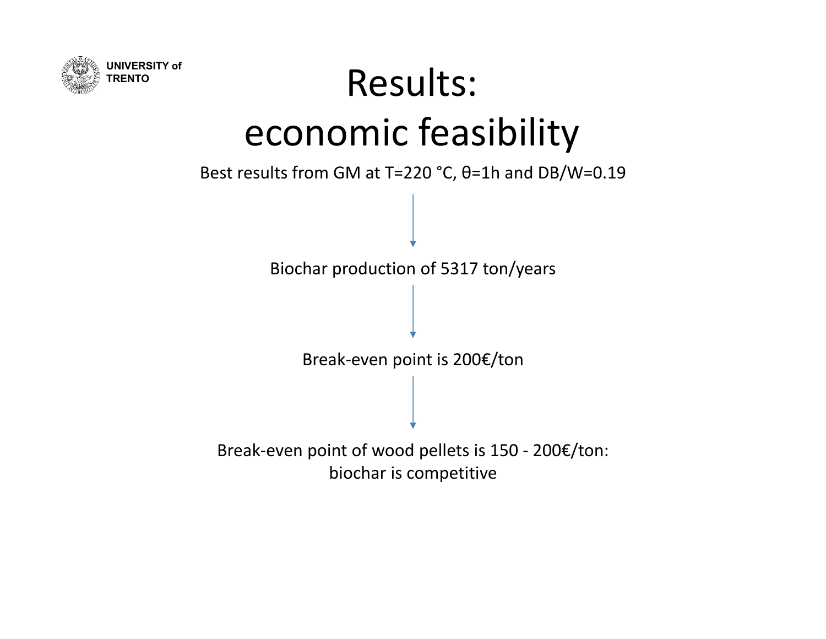

# Results: economic feasibility

Best results from GM at T=220 °C, θ=1h and DB/W=0.19

Biochar production of 5317 ton/years

Break‐even point is 200€/ton

Break‐even point of wood pellets is 150 ‐ 200€/ton: biochar is competitive